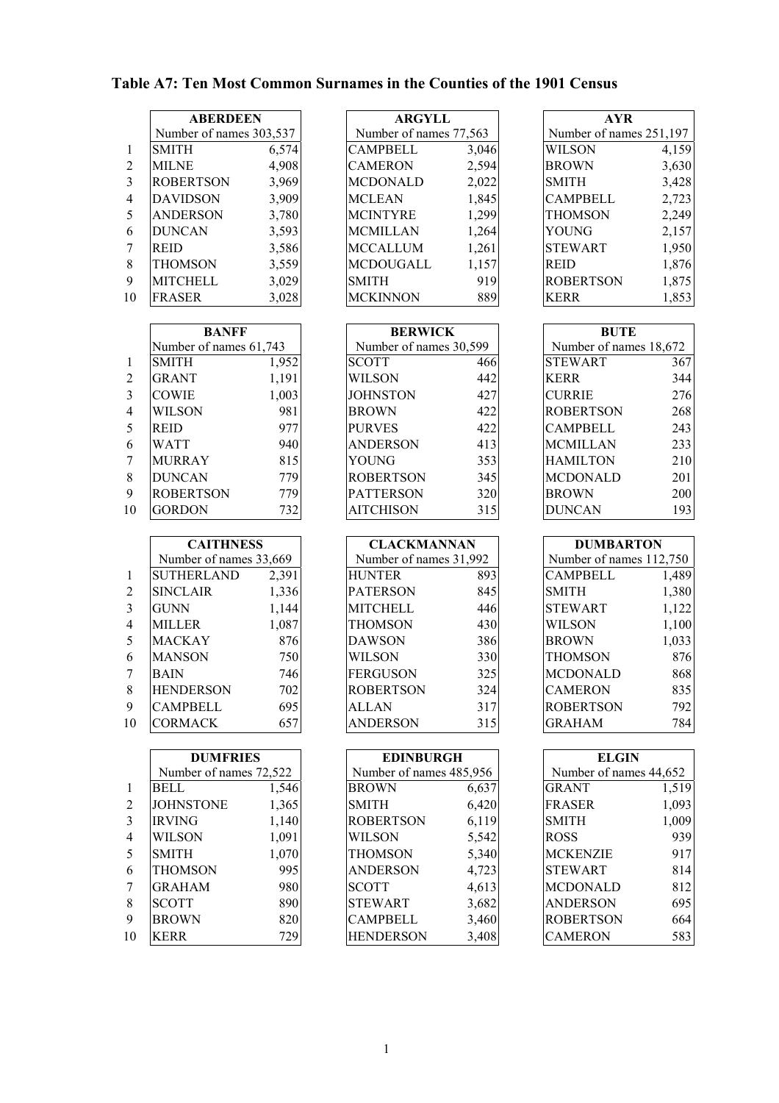|                | <b>ABERDEEN</b>         |       | <b>ARGYLL</b>          |       | <b>AYR</b>              |       |
|----------------|-------------------------|-------|------------------------|-------|-------------------------|-------|
|                | Number of names 303,537 |       | Number of names 77,563 |       | Number of names 251,197 |       |
|                | <b>SMITH</b>            | 6,574 | <b>CAMPBELL</b>        | 3,046 | <b>WILSON</b>           | 4,159 |
| 2              | <b>MILNE</b>            | 4,908 | <b>CAMERON</b>         | 2,594 | <b>BROWN</b>            | 3,630 |
| $\mathcal{Z}$  | <b>ROBERTSON</b>        | 3,969 | <b>MCDONALD</b>        | 2,022 | <b>SMITH</b>            | 3,428 |
| $\overline{4}$ | <b>DAVIDSON</b>         | 3,909 | <b>MCLEAN</b>          | 1,845 | <b>CAMPBELL</b>         | 2,723 |
| .5             | <b>ANDERSON</b>         | 3,780 | <b>MCINTYRE</b>        | 1,299 | <b>THOMSON</b>          | 2,249 |
| 6              | <b>DUNCAN</b>           | 3,593 | <b>MCMILLAN</b>        | 1,264 | YOUNG                   | 2,157 |
|                | <b>REID</b>             | 3,586 | <b>MCCALLUM</b>        | 1,261 | <b>STEWART</b>          | 1,950 |
| 8              | THOMSON                 | 3,559 | <b>MCDOUGALL</b>       | 1,157 | <b>REID</b>             | 1,876 |
| 9              | <b>MITCHELL</b>         | 3,029 | <b>SMITH</b>           | 919   | <b>ROBERTSON</b>        | 1,875 |
| 10             | <b>FRASER</b>           | 3,028 | <b>MCKINNON</b>        | 889   | <b>KERR</b>             | 1,853 |

|                        | <b>BANFF</b>     |       | <b>BERWICK</b>         |                  |                        | <b>BUTE</b>      |     |
|------------------------|------------------|-------|------------------------|------------------|------------------------|------------------|-----|
| Number of names 61,743 |                  |       | Number of names 30,599 |                  | Number of names 18,672 |                  |     |
|                        | <b>SMITH</b>     | 1,952 |                        | <b>SCOTT</b>     | 466                    | <b>STEWART</b>   | 367 |
| 2                      | <b>GRANT</b>     | 1,191 |                        | WILSON           | 442                    | <b>KERR</b>      | 344 |
| $\mathcal{E}$          | <b>COWIE</b>     | 1,003 |                        | <b>JOHNSTON</b>  | 427                    | <b>CURRIE</b>    | 276 |
| $\overline{4}$         | <b>WILSON</b>    | 981   |                        | <b>BROWN</b>     | 422                    | <b>ROBERTSON</b> | 268 |
| -5                     | <b>REID</b>      | 977   |                        | <b>PURVES</b>    | 422                    | <b>CAMPBELL</b>  | 243 |
| 6                      | <b>WATT</b>      | 940   |                        | <b>ANDERSON</b>  | 413                    | <b>MCMILLAN</b>  | 233 |
|                        | <b>MURRAY</b>    | 815   |                        | YOUNG            | 353                    | <b>HAMILTON</b>  | 210 |
| 8                      | <b>DUNCAN</b>    | 779   |                        | <b>ROBERTSON</b> | 345                    | <b>MCDONALD</b>  | 201 |
| 9                      | <b>ROBERTSON</b> | 779   |                        | <b>PATTERSON</b> | 320                    | <b>BROWN</b>     | 200 |
| 10                     | <b>GORDON</b>    | 732   |                        | <b>AITCHISON</b> | 315                    | <b>DUNCAN</b>    | 193 |

|                | <b>CAITHNESS</b>       |       | <b>CLACKMANNAN</b>     |     | <b>DUMBARTON</b>        |       |
|----------------|------------------------|-------|------------------------|-----|-------------------------|-------|
|                | Number of names 33,669 |       | Number of names 31,992 |     | Number of names 112,750 |       |
|                | <b>SUTHERLAND</b>      | 2,391 | <b>HUNTER</b>          | 893 | <b>CAMPBELL</b>         | 1,489 |
| 2              | <b>SINCLAIR</b>        | 1,336 | <b>PATERSON</b>        | 845 | <b>SMITH</b>            | 1,380 |
| 3              | <b>GUNN</b>            | 1,144 | <b>MITCHELL</b>        | 446 | <b>STEWART</b>          | 1,122 |
| $\overline{4}$ | <b>MILLER</b>          | 1,087 | <b>THOMSON</b>         | 430 | <b>WILSON</b>           | 1,100 |
| 5              | <b>MACKAY</b>          | 876   | DAWSON                 | 386 | <b>BROWN</b>            | 1,033 |
| 6              | <b>MANSON</b>          | 750   | <b>WILSON</b>          | 330 | <b>THOMSON</b>          | 876   |
| 7              | <b>BAIN</b>            | 746   | <b>FERGUSON</b>        | 325 | <b>MCDONALD</b>         | 868   |
| 8              | <b>HENDERSON</b>       | 702   | <b>ROBERTSON</b>       | 324 | <b>CAMERON</b>          | 835   |
| 9              | <b>CAMPBELL</b>        | 695   | <b>ALLAN</b>           | 317 | <b>ROBERTSON</b>        | 792   |
| 10             | <b>CORMACK</b>         | 657   | <b>ANDERSON</b>        | 315 | <b>GRAHAM</b>           | 784   |

| <b>DUMFRIES</b>        |       |                         | <b>EDINBURGH</b>                                             |       | <b>ELGIN</b>                                                                  |                                                                                                                   |
|------------------------|-------|-------------------------|--------------------------------------------------------------|-------|-------------------------------------------------------------------------------|-------------------------------------------------------------------------------------------------------------------|
| Number of names 72,522 |       | Number of names 485,956 |                                                              |       |                                                                               |                                                                                                                   |
| <b>BELL</b>            |       |                         | <b>BROWN</b>                                                 |       |                                                                               | 1,519                                                                                                             |
| <b>JOHNSTONE</b>       |       |                         | <b>SMITH</b>                                                 |       |                                                                               | 1,093                                                                                                             |
| <b>IRVING</b>          |       |                         | <b>ROBERTSON</b>                                             |       | <b>SMITH</b>                                                                  | 1,009                                                                                                             |
| <b>WILSON</b>          | 1,091 |                         | WILSON                                                       |       | <b>ROSS</b>                                                                   | 939                                                                                                               |
| <b>SMITH</b>           |       |                         | <b>THOMSON</b>                                               |       |                                                                               | 917                                                                                                               |
| <b>THOMSON</b>         |       |                         | <b>ANDERSON</b>                                              |       | <b>STEWART</b>                                                                | 814                                                                                                               |
| <b>GRAHAM</b>          |       |                         | <b>SCOTT</b>                                                 |       |                                                                               | 812                                                                                                               |
| <b>SCOTT</b>           |       |                         | <b>STEWART</b>                                               |       | <b>ANDERSON</b>                                                               | 695                                                                                                               |
| <b>BROWN</b>           |       |                         | <b>CAMPBELL</b>                                              |       |                                                                               | 664                                                                                                               |
| <b>KERR</b>            | 729   |                         | <b>HENDERSON</b>                                             | 3,408 | <b>CAMERON</b>                                                                | 583                                                                                                               |
|                        |       |                         | 1,546<br>1,365<br>1,140<br>1,070<br>995<br>980<br>890<br>820 |       | 6,637<br>6,420<br>6,119<br>5,542<br>5,340<br>4,723<br>4,613<br>3,682<br>3,460 | Number of names 44,652<br><b>GRANT</b><br><b>FRASER</b><br><b>MCKENZIE</b><br><b>MCDONALD</b><br><b>ROBERTSON</b> |

| <b>ARGYLL</b>          |       |
|------------------------|-------|
| Number of names 77,563 |       |
| <b>CAMPBELL</b>        | 3,046 |
| <b>CAMERON</b>         | 2,594 |
| <b>MCDONALD</b>        | 2,022 |
| <b>MCLEAN</b>          | 1,843 |
| <b>MCINTYRE</b>        | 1,299 |
| <b>MCMILLAN</b>        | 1,264 |
| <b>MCCALLUM</b>        | 1,261 |
| <b>MCDOUGALL</b>       | 1,157 |
| <b>SMITH</b>           | 919   |
| <b>MCKINNON</b>        | 889   |

| <b>BERWICK</b>         |     |  |  |  |  |  |
|------------------------|-----|--|--|--|--|--|
| Number of names 30,599 |     |  |  |  |  |  |
| <b>SCOTT</b>           | 466 |  |  |  |  |  |
| WILSON                 | 442 |  |  |  |  |  |
| JOHNSTON               | 427 |  |  |  |  |  |
| <b>BROWN</b>           | 422 |  |  |  |  |  |
| <b>PURVES</b>          | 422 |  |  |  |  |  |
| <b>ANDERSON</b>        | 413 |  |  |  |  |  |
| YOUNG                  | 353 |  |  |  |  |  |
| <b>ROBERTSON</b>       | 345 |  |  |  |  |  |
| <b>PATTERSON</b>       | 320 |  |  |  |  |  |
| AITCHISON              | 315 |  |  |  |  |  |

| CLACKMANNAN            |     |  |  |  |  |  |
|------------------------|-----|--|--|--|--|--|
| Number of names 31,992 |     |  |  |  |  |  |
| <b>HUNTER</b>          | 893 |  |  |  |  |  |
| <b>PATERSON</b>        | 845 |  |  |  |  |  |
| <b>MITCHELL</b>        | 446 |  |  |  |  |  |
| THOMSON                | 430 |  |  |  |  |  |
| DAWSON                 | 386 |  |  |  |  |  |
| WILSON                 | 330 |  |  |  |  |  |
| <b>FERGUSON</b>        | 325 |  |  |  |  |  |
| ROBERTSON              | 324 |  |  |  |  |  |
| ALLAN                  | 317 |  |  |  |  |  |
| ANDERSON               |     |  |  |  |  |  |

| <b>AYR</b>              |       |
|-------------------------|-------|
| Number of names 251,197 |       |
| <b>WILSON</b>           | 4,159 |
| <b>BROWN</b>            | 3,630 |
| <b>SMITH</b>            | 3,428 |
| <b>CAMPBELL</b>         | 2,723 |
| <b>THOMSON</b>          | 2,249 |
| YOUNG                   | 2,157 |
| <b>STEWART</b>          | 1,950 |
| <b>REID</b>             | 1,876 |
| <b>ROBERTSON</b>        | 1,875 |
| KERR                    | 1,853 |

| <b>BUTE</b>            |     |
|------------------------|-----|
| Number of names 18,672 |     |
| <b>STEWART</b>         | 367 |
| KERR                   | 344 |
| <b>CURRIE</b>          | 276 |
| <b>ROBERTSON</b>       | 268 |
| <b>CAMPBELL</b>        | 243 |
| <b>MCMILLAN</b>        | 233 |
| <b>HAMILTON</b>        | 210 |
| <b>MCDONALD</b>        | 201 |
| <b>BROWN</b>           | 200 |
| DUNCAN                 | 193 |

| <b>DUMBARTON</b>        |       |  |  |  |  |  |
|-------------------------|-------|--|--|--|--|--|
| Number of names 112,750 |       |  |  |  |  |  |
| CAMPBELL                | 1,489 |  |  |  |  |  |
| <b>SMITH</b>            | 1,380 |  |  |  |  |  |
| <b>STEWART</b>          | 1,122 |  |  |  |  |  |
| WILSON                  | 1,100 |  |  |  |  |  |
| <b>BROWN</b>            | 1,033 |  |  |  |  |  |
| <b>THOMSON</b>          | 876   |  |  |  |  |  |
| <b>MCDONALD</b>         | 868   |  |  |  |  |  |
| CAMERON                 | 835   |  |  |  |  |  |
| ROBERTSON               | 792   |  |  |  |  |  |
| GRAHAM                  |       |  |  |  |  |  |

| <b>EDINBURGH</b>        |       |
|-------------------------|-------|
| Number of names 485,956 |       |
| <b>BROWN</b>            | 6,637 |
| SMITH                   | 6,420 |
| ROBERTSON               | 6,119 |
| VILSON                  | 5,542 |
| THOMSON                 | 5,340 |
| ANDERSON                | 4,723 |
| <b>SCOTT</b>            | 4,613 |
| <b>STEWART</b>          | 3,682 |
| CAMPBELL                | 3,460 |
| HENDERSON               | 3,408 |

| <b>ELGIN</b>           |       |
|------------------------|-------|
| Number of names 44,652 |       |
| <b>GRANT</b>           | 1,519 |
| <b>FRASER</b>          | 1,093 |
| <b>SMITH</b>           | 1,009 |
| <b>ROSS</b>            | 939   |
| MCKENZIE               | 917   |
| <b>STEWART</b>         | 814   |
| MCDONALD               | 812   |
| ANDERSON               | 695   |
| ROBERTSON              | 664   |
| CAMERON                | 58.   |

## **Table A7: Ten Most Common Surnames in the Counties of the 1901 Census**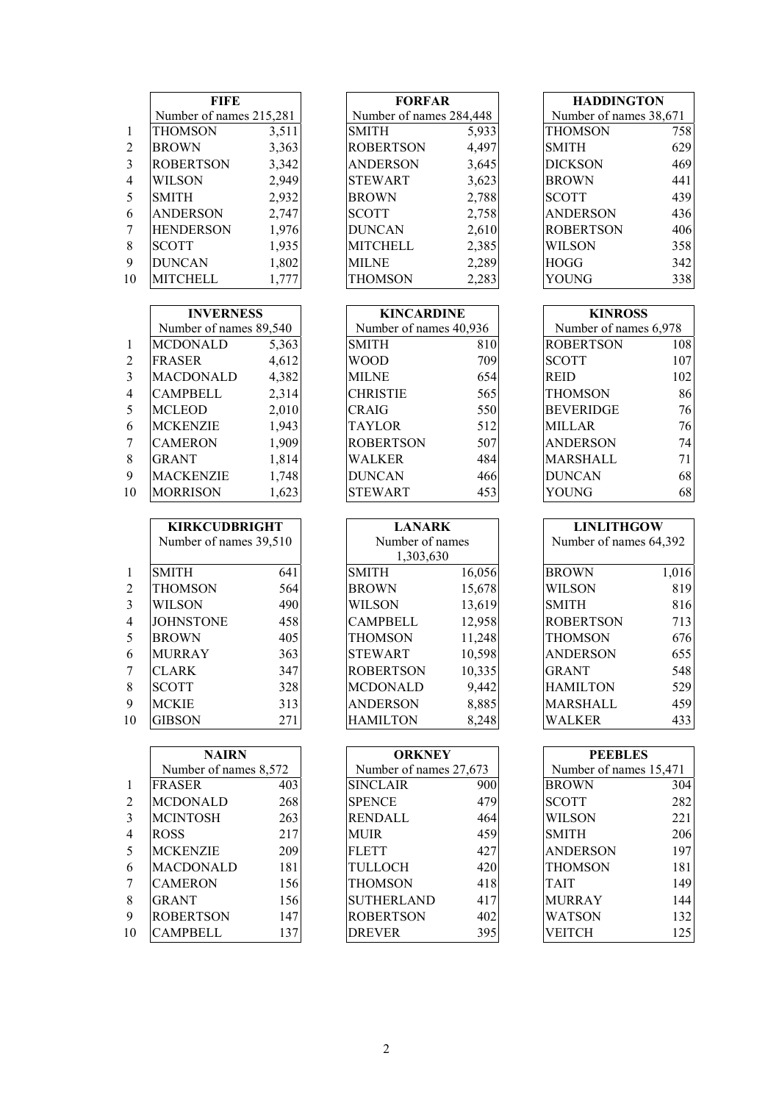|    | <b>FIFE</b>             |       | <b>FORFAR</b>           |       | <b>HADDINGTON</b>      |     |
|----|-------------------------|-------|-------------------------|-------|------------------------|-----|
|    | Number of names 215,281 |       | Number of names 284,448 |       | Number of names 38,671 |     |
|    | <b>THOMSON</b>          | 3,511 | <b>SMITH</b>            | 5,933 | <b>THOMSON</b>         | 758 |
| 2  | <b>BROWN</b>            | 3,363 | <b>ROBERTSON</b>        | 4,497 | <b>SMITH</b>           | 629 |
| 3  | <b>ROBERTSON</b>        | 3,342 | <b>ANDERSON</b>         | 3,645 | <b>DICKSON</b>         | 469 |
| 4  | <b>WILSON</b>           | 2,949 | <b>STEWART</b>          | 3,623 | <b>BROWN</b>           | 441 |
| 5  | <b>SMITH</b>            | 2,932 | <b>BROWN</b>            | 2,788 | <b>SCOTT</b>           | 439 |
| 6  | <b>ANDERSON</b>         | 2,747 | <b>SCOTT</b>            | 2,758 | <b>ANDERSON</b>        | 436 |
|    | <b>HENDERSON</b>        | 1,976 | <b>DUNCAN</b>           | 2,610 | <b>ROBERTSON</b>       | 406 |
| 8  | <b>SCOTT</b>            | 1,935 | <b>MITCHELL</b>         | 2,385 | <b>WILSON</b>          | 358 |
| 9  | <b>DUNCAN</b>           | 1,802 | <b>MILNE</b>            | 2,289 | <b>HOGG</b>            | 342 |
| 10 | <b>MITCHELL</b>         | 1,777 | <b>THOMSON</b>          | 2,283 | YOUNG                  | 338 |

|                | <b>INVERNESS</b>       |       | <b>KINCARDINE</b>      |     | <b>KINROSS</b>        |     |
|----------------|------------------------|-------|------------------------|-----|-----------------------|-----|
|                | Number of names 89,540 |       | Number of names 40,936 |     | Number of names 6,978 |     |
| $\mathbf{1}$   | <b>MCDONALD</b>        | 5,363 | <b>SMITH</b>           | 810 | <b>ROBERTSON</b>      | 108 |
| 2              | <b>FRASER</b>          | 4,612 | <b>WOOD</b>            | 709 | <b>SCOTT</b>          | 107 |
| 3              | <b>MACDONALD</b>       | 4,382 | <b>MILNE</b>           | 654 | <b>REID</b>           | 102 |
| $\overline{4}$ | <b>CAMPBELL</b>        | 2,314 | <b>CHRISTIE</b>        | 565 | <b>THOMSON</b>        | 86  |
| 5              | <b>MCLEOD</b>          | 2,010 | <b>CRAIG</b>           | 550 | <b>BEVERIDGE</b>      | 76  |
| 6              | <b>MCKENZIE</b>        | 1,943 | <b>TAYLOR</b>          | 512 | <b>MILLAR</b>         | 76  |
| 7              | <b>CAMERON</b>         | 1,909 | <b>ROBERTSON</b>       | 507 | <b>ANDERSON</b>       | 74  |
| 8              | <b>GRANT</b>           | 1,814 | <b>WALKER</b>          | 484 | <b>MARSHALL</b>       | 71  |
| 9              | <b>MACKENZIE</b>       | 1,748 | <b>DUNCAN</b>          | 466 | <b>DUNCAN</b>         | 68  |
| 10             | <b>MORRISON</b>        | 1,623 | <b>STEWART</b>         | 453 | <b>YOUNG</b>          | 68  |

|                | <b>KIRKCUDBRIGHT</b>   |     | <b>LANARK</b>    |        | <b>LINLITHGOW</b>      |       |
|----------------|------------------------|-----|------------------|--------|------------------------|-------|
|                | Number of names 39,510 |     | Number of names  |        | Number of names 64,392 |       |
|                |                        |     | 1,303,630        |        |                        |       |
| $\mathbf{1}$   | <b>SMITH</b>           | 641 | <b>SMITH</b>     | 16,056 | <b>BROWN</b>           | 1,016 |
| 2              | <b>THOMSON</b>         | 564 | <b>BROWN</b>     | 15,678 | <b>WILSON</b>          | 819   |
| 3              | <b>WILSON</b>          | 490 | <b>WILSON</b>    | 13,619 | <b>SMITH</b>           | 816   |
| $\overline{4}$ | <b>JOHNSTONE</b>       | 458 | <b>CAMPBELL</b>  | 12,958 | <b>ROBERTSON</b>       | 713   |
| 5              | <b>BROWN</b>           | 405 | <b>THOMSON</b>   | 11,248 | <b>THOMSON</b>         | 676   |
| 6              | <b>MURRAY</b>          | 363 | <b>STEWART</b>   | 10,598 | <b>ANDERSON</b>        | 655   |
| 7              | <b>CLARK</b>           | 347 | <b>ROBERTSON</b> | 10,335 | <b>GRANT</b>           | 548   |
| 8              | <b>SCOTT</b>           | 328 | <b>MCDONALD</b>  | 9,442  | <b>HAMILTON</b>        | 529   |
| 9              | <b>MCKIE</b>           | 313 | <b>ANDERSON</b>  | 8,885  | MARSHALL               | 459   |
| 10             | <b>GIBSON</b>          | 271 | <b>HAMILTON</b>  | 8,248  | <b>WALKER</b>          | 433   |

|                | <b>NAIRN</b>          |     | <b>ORKNEY</b>          |     | <b>PEEBLES</b>         |     |
|----------------|-----------------------|-----|------------------------|-----|------------------------|-----|
|                | Number of names 8,572 |     | Number of names 27,673 |     | Number of names 15,471 |     |
| $\overline{1}$ | <b>FRASER</b>         | 403 | <b>SINCLAIR</b>        | 900 | <b>BROWN</b>           | 304 |
| 2              | <b>MCDONALD</b>       | 268 | <b>SPENCE</b>          | 479 | <b>SCOTT</b>           | 282 |
| 3              | <b>MCINTOSH</b>       | 263 | RENDALL                | 464 | <b>WILSON</b>          | 221 |
| $\overline{4}$ | <b>ROSS</b>           | 217 | <b>MUIR</b>            | 459 | <b>SMITH</b>           | 206 |
| 5              | <b>MCKENZIE</b>       | 209 | <b>FLETT</b>           | 427 | <b>ANDERSON</b>        | 197 |
| 6              | <b>MACDONALD</b>      | 181 | TULLOCH                | 420 | <b>THOMSON</b>         | 181 |
| 7              | <b>CAMERON</b>        | 156 | <b>THOMSON</b>         | 418 | <b>TAIT</b>            | 149 |
| 8              | <b>GRANT</b>          | 156 | <b>SUTHERLAND</b>      | 417 | <b>MURRAY</b>          | 144 |
| 9              | <b>ROBERTSON</b>      | 147 | <b>ROBERTSON</b>       | 402 | <b>WATSON</b>          | 132 |
| 10             | <b>CAMPBELL</b>       | 137 | <b>DREVER</b>          | 395 | VEITCH                 | 125 |

| <b>FORFAR</b>           |       |
|-------------------------|-------|
| Number of names 284,448 |       |
| <b>SMITH</b>            | 5,933 |
| <b>ROBERTSON</b>        | 4,497 |
| <b>ANDERSON</b>         | 3,645 |
| <b>STEWART</b>          | 3,623 |
| <b>BROWN</b>            | 2,788 |
| <b>SCOTT</b>            | 2,758 |
| <b>DUNCAN</b>           | 2,610 |
| <b>MITCHELL</b>         | 2,385 |
| <b>MILNE</b>            | 2,289 |
| <b>THOMSON</b>          | 2,283 |
|                         |       |

| <b>KINCARDINE</b>      |     |  |  |  |  |
|------------------------|-----|--|--|--|--|
| Number of names 40,936 |     |  |  |  |  |
| <b>SMITH</b>           | 810 |  |  |  |  |
| WOOD                   | 709 |  |  |  |  |
| MILNE                  | 654 |  |  |  |  |
| <b>CHRISTIE</b>        | 565 |  |  |  |  |
| CRAIG                  | 550 |  |  |  |  |
| TAYLOR                 | 512 |  |  |  |  |
| <b>ROBERTSON</b>       | 507 |  |  |  |  |
| WALKER                 | 484 |  |  |  |  |
| <b>DUNCAN</b>          | 466 |  |  |  |  |
| <b>STEWART</b>         | 453 |  |  |  |  |

| <b>LANARK</b>    |        |  |  |  |  |  |
|------------------|--------|--|--|--|--|--|
| Number of names  |        |  |  |  |  |  |
| 1,303,630        |        |  |  |  |  |  |
| <b>SMITH</b>     | 16,056 |  |  |  |  |  |
| <b>BROWN</b>     | 15,678 |  |  |  |  |  |
| <b>WILSON</b>    | 13,619 |  |  |  |  |  |
| <b>CAMPBELL</b>  | 12,958 |  |  |  |  |  |
| <b>THOMSON</b>   | 11,248 |  |  |  |  |  |
| <b>STEWART</b>   | 10,598 |  |  |  |  |  |
| <b>ROBERTSON</b> | 10,335 |  |  |  |  |  |
| <b>MCDONALD</b>  | 9,442  |  |  |  |  |  |
| <b>ANDERSON</b>  | 8,885  |  |  |  |  |  |
| <b>HAMILTON</b>  | 8.248  |  |  |  |  |  |

| ORKNEY                 |     |
|------------------------|-----|
| Number of names 27,673 |     |
| <b>SINCLAIR</b>        | 900 |
| <b>SPENCE</b>          | 479 |
| RENDALL                | 464 |
| MUIR                   | 459 |
| <b>FLETT</b>           | 427 |
| TULLOCH                | 420 |
| THOMSON                | 418 |
| <b>SUTHERLAND</b>      | 417 |
| ROBERTSON              | 402 |
| <b>DREVER</b>          | 395 |

| <b>HADDINGTON</b>      |     |  |  |  |  |
|------------------------|-----|--|--|--|--|
| Number of names 38,671 |     |  |  |  |  |
| THOMSON                | 758 |  |  |  |  |
| <b>SMITH</b>           | 629 |  |  |  |  |
| <b>DICKSON</b>         | 469 |  |  |  |  |
| <b>BROWN</b>           | 441 |  |  |  |  |
| <b>SCOTT</b>           | 439 |  |  |  |  |
| ANDERSON               | 436 |  |  |  |  |
| ROBERTSON              | 406 |  |  |  |  |
| WILSON                 | 358 |  |  |  |  |
| HOGG                   | 342 |  |  |  |  |
| OUNG                   | 338 |  |  |  |  |

| <b>KINROSS</b>        |     |
|-----------------------|-----|
| Number of names 6,978 |     |
| <b>ROBERTSON</b>      | 108 |
| <b>SCOTT</b>          | 107 |
| REID                  | 102 |
| THOMSON               | 86  |
| <b>BEVERIDGE</b>      | 76  |
| <b>MILLAR</b>         | 76  |
| ANDERSON              | 74  |
| MARSHALL              | 71  |
| <b>DUNCAN</b>         | 68  |
| YOUNG                 |     |

| <b>LINLITHGOW</b>      |       |  |  |  |  |  |
|------------------------|-------|--|--|--|--|--|
| Number of names 64,392 |       |  |  |  |  |  |
|                        |       |  |  |  |  |  |
| <b>BROWN</b>           | 1,016 |  |  |  |  |  |
| WILSON                 | 819   |  |  |  |  |  |
| <b>SMITH</b>           | 816   |  |  |  |  |  |
| <b>ROBERTSON</b>       | 713   |  |  |  |  |  |
| THOMSON                | 676   |  |  |  |  |  |
| ANDERSON               | 655   |  |  |  |  |  |
| <b>GRANT</b>           | 548   |  |  |  |  |  |
| <b>HAMILTON</b>        | 529   |  |  |  |  |  |
| MARSHALL               | 459   |  |  |  |  |  |
| ALKER!                 |       |  |  |  |  |  |

| <b>PEEBLES</b>         |     |
|------------------------|-----|
| Number of names 15,471 |     |
| <b>BROWN</b>           | 304 |
| SCOTT                  | 282 |
| WILSON                 | 221 |
| <b>SMITH</b>           | 206 |
| ANDERSON               | 197 |
| THOMSON                | 181 |
| TAIT                   | 149 |
| <b>MURRAY</b>          | 144 |
| WATSON                 | 132 |
| VEITCH                 | 125 |